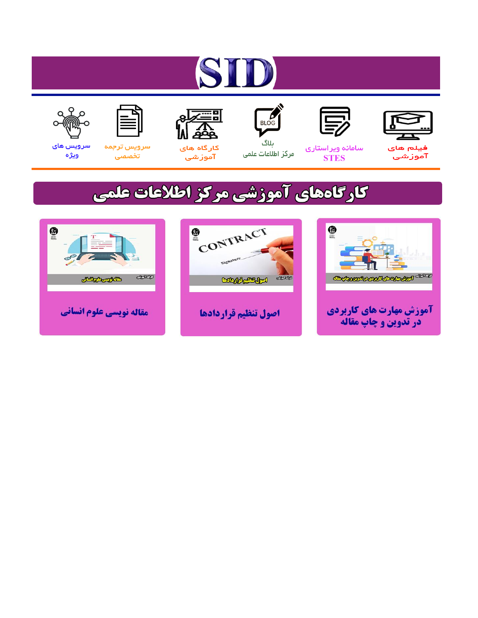# ST











ىلاگ



مرکز اطلاعات علمی

 $\frac{1}{\sqrt{\frac{1}{100}}}$ 

Cologie Legislation

کارگاه های آموزشي

空

ققق

 $\begin{matrix} \textcircled{\footnotesize{A}}\\ \textcircled{\footnotesize{B}} \end{matrix}$ 

سرويس ترجمه تخصصى



سرویس های ويژه

كارگاههای آموزشی مركز اطلاعات علمی

CONTRACT

اصول تنظيم قراردادها



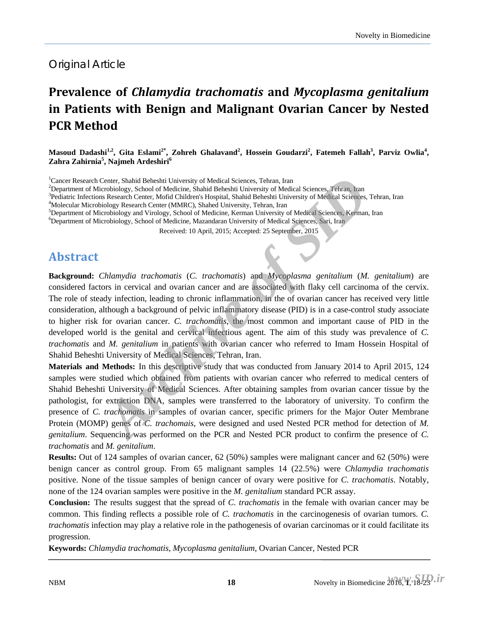#### Original Article

## **Prevalence of** *Chlamydia trachomatis* **and** *Mycoplasma genitalium* **in Patients with Benign and Malignant Ovarian Cancer by Nested PCR Method**

Masoud Dadashi<sup>1,2</sup>, Gita Eslami<sup>2\*</sup>, Zohreh Ghalavand<sup>2</sup>, Hossein Goudarzi<sup>2</sup>, Fatemeh Fallah<sup>3</sup>, Parviz Owlia<sup>4</sup>, **Zahra Zahirnia<sup>5</sup> , Najmeh Ardeshiri<sup>6</sup>**

<sup>1</sup> Cancer Research Center, Shahid Beheshti University of Medical Sciences, Tehran, Iran <sup>2</sup> Department of Microbiology, School of Medicine, Shahid Beheshti University of Medi

<sup>2</sup>Department of Microbiology, School of Medicine, Shahid Beheshti University of Medical Sciences, Tehran, Iran

<sup>3</sup>Pediatric Infections Research Center, Mofid Children's Hospital, Shahid Beheshti University of Medical Sciences, Tehran, Iran

<sup>4</sup>Molecular Microbiology Research Center (MMRC), Shahed University, Tehran, Iran

Department of Microbiology and Virology, School of Medicine, Kerman University of Medical Sciences, Kerman, Iran

6 Department of Microbiology, School of Medicine, Mazandaran University of Medical Sciences, Sari, Iran

Received: 10 April, 2015; Accepted: 25 September, 2015

#### **Abstract**

**Background:** *Chlamydia trachomatis* (*C. trachomatis*) and *Mycoplasma genitalium* (*M. genitalium*) are considered factors in cervical and ovarian cancer and are associated with flaky cell carcinoma of the cervix. The role of steady infection, leading to chronic inflammation, in the of ovarian cancer has received very little consideration, although a background of pelvic inflammatory disease (PID) is in a case-control study associate to higher risk for ovarian cancer. *C. trachomatis*, the most common and important cause of PID in the developed world is the genital and cervical infectious agent. The aim of this study was prevalence of *C. trachomatis* and *M. genitalium* in patients with ovarian cancer who referred to Imam Hossein Hospital of Shahid Beheshti University of Medical Sciences, Tehran, Iran. Center, Shahid Beheshit University of Medical Sciences, Tehran, Iran<br>
cerbiology, School of Medicine, Shahid Beheshit University of Medical Sciences, Tehran, Iran<br>
Ris Research Center, Mofid Chiddren, Steppital, Shahid Beh

**Materials and Methods:** In this descriptive study that was conducted from January 2014 to April 2015, 124 samples were studied which obtained from patients with ovarian cancer who referred to medical centers of Shahid Beheshti University of Medical Sciences. After obtaining samples from ovarian cancer tissue by the pathologist, for extraction DNA, samples were transferred to the laboratory of university. To confirm the presence of *C. trachomatis* in samples of ovarian cancer, specific primers for the Major Outer Membrane Protein (MOMP) genes of *C. trachomais*, were designed and used Nested PCR method for detection of *M. genitalium*. Sequencing was performed on the PCR and Nested PCR product to confirm the presence of *C. trachomatis* and *M. genitalium*.

**Results:** Out of 124 samples of ovarian cancer, 62 (50%) samples were malignant cancer and 62 (50%) were benign cancer as control group. From 65 malignant samples 14 (22.5%) were *Chlamydia trachomatis* positive. None of the tissue samples of benign cancer of ovary were positive for *C. trachomatis*. Notably, none of the 124 ovarian samples were positive in the *M. genitalium* standard PCR assay.

**Conclusion:** The results suggest that the spread of *C. trachomatis* in the female with ovarian cancer may be common. This finding reflects a possible role of *C. trachomatis* in the carcinogenesis of ovarian tumors. *C. trachomatis* infection may play a relative role in the pathogenesis of ovarian carcinomas or it could facilitate its progression.

**Keywords:** *Chlamydia trachomatis*, *Mycoplasma genitalium*, Ovarian Cancer, Nested PCR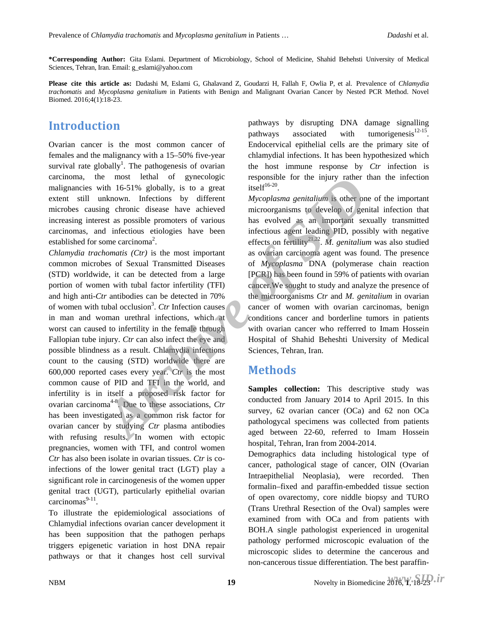**\*Corresponding Author:** Gita Eslami. Department of Microbiology, School of Medicine, Shahid Behehsti University of Medical Sciences, Tehran, Iran. Email: g\_eslami@yahoo.com

**Please cite this article as:** Dadashi M, Eslami G, Ghalavand Z, Goudarzi H, Fallah F, Owlia P, et al. Prevalence of *Chlamydia trachomatis* and *Mycoplasma genitalium* in Patients with Benign and Malignant Ovarian Cancer by Nested PCR Method. Novel Biomed. 2016;4(1):18-23.

#### **Introduction**

Ovarian cancer is the most common cancer of females and the malignancy with a 15–50% five-year survival rate globally<sup>1</sup>. The pathogenesis of ovarian carcinoma, the most lethal of gynecologic malignancies with 16-51% globally, is to a great extent still unknown. Infections by different microbes causing chronic disease have achieved increasing interest as possible promoters of various carcinomas, and infectious etiologies have been established for some carcinoma<sup>2</sup>.

*Chlamydia trachomatis (Ctr)* is the most important common microbes of Sexual Transmitted Diseases (STD) worldwide, it can be detected from a large portion of women with tubal factor infertility (TFI) and high anti-*Ctr* antibodies can be detected in 70% of women with tubal occlusion<sup>3</sup>. *Ctr* Infection causes in man and woman urethral infections, which at worst can caused to infertility in the female through Fallopian tube injury. *Ctr* can also infect the eye and possible blindness as a result. Chlamydia infections count to the causing (STD) worldwide there are 600,000 reported cases every year. *Ctr* is the most common cause of PID and TFI in the world, and infertility is in itself a proposed risk factor for ovarian carcinoma<sup>4-8</sup>. Due to these associations, *Ctr* has been investigated as a common risk factor for ovarian cancer by studying *Ctr* plasma antibodies with refusing results. In women with ectopic pregnancies, women with TFI, and control women *Ctr* has also been isolate in ovarian tissues. *Ctr* is coinfections of the lower genital tract (LGT) play a significant role in carcinogenesis of the women upper genital tract (UGT), particularly epithelial ovarian  $carcinomas<sup>9-11</sup>.$ e most lettal of gynecologic responsible for the injury rather this 15-51% globally, is to a great is  $Mycoplasma$  genitalium is other only chindrown. Infections by different  $Mycoplasma$  genitalium is other only chindrown. Infectio

To illustrate the epidemiological associations of Chlamydial infections ovarian cancer development it has been supposition that the pathogen perhaps triggers epigenetic variation in host DNA repair pathways or that it changes host cell survival pathways by disrupting DNA damage signalling pathways associated with tumorigenesis $12-15$ . Endocervical epithelial cells are the primary site of chlamydial infections. It has been hypothesized which the host immune response by *Ctr* infection is responsible for the injury rather than the infection  $itself^{16-20}$ .

*Mycoplasma genitalium* is other one of the important microorganisms to develop of genital infection that has evolved as an important sexually transmitted infectious agent leading PID, possibly with negative effects on fertility<sup>21,22</sup>. *M. genitalium* was also studied as ovarian carcinoma agent was found. The presence of *Mycoplasma* DNA (polymerase chain reaction [PCR]) has been found in 59% of patients with ovarian cancer.We sought to study and analyze the presence of the microorganisms *Ctr* and *M. genitalium* in ovarian cancer of women with ovarian carcinomas, benign conditions cancer and borderline tumors in patients with ovarian cancer who refferred to Imam Hossein Hospital of Shahid Beheshti University of Medical Sciences, Tehran, Iran.

#### **Methods**

**Samples collection:** This descriptive study was conducted from January 2014 to April 2015. In this survey, 62 ovarian cancer (OCa) and 62 non OCa pathologycal specimens was collected from patients aged between 22-60, referred to Imam Hossein hospital, Tehran, Iran from 2004-2014.

Demographics data including histological type of cancer, pathological stage of cancer, OIN (Ovarian Intraepithelial Neoplasia), were recorded. Then formalin–fixed and paraffin-embedded tissue section of open ovarectomy, core niddle biopsy and TURO (Trans Urethral Resection of the Oval) samples were examined from with OCa and from patients with BOH.A single pathologist experienced in urogenital pathology performed microscopic evaluation of the microscopic slides to determine the cancerous and non-cancerous tissue differentiation. The best paraffin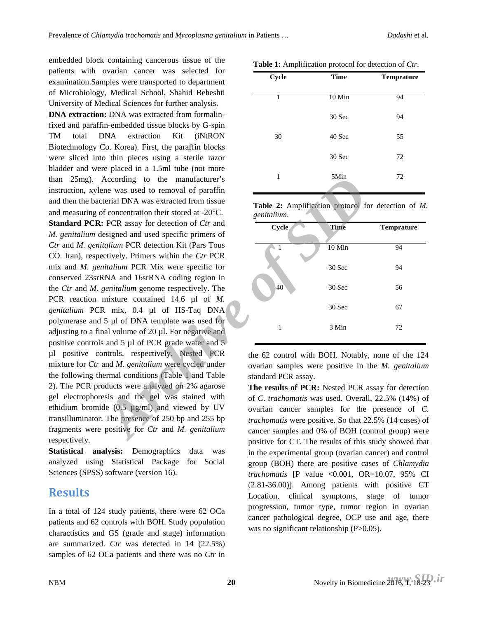embedded block containing cancerous tissue of the patients with ovarian cancer was selected for examination.Samples were transported to department of Microbiology, Medical School, Shahid Beheshti University of Medical Sciences for further analysis.

**DNA extraction:** DNA was extracted from formalinfixed and paraffin-embedded tissue blocks by G-spin TM total DNA extraction Kit (iNtRON Biotechnology Co. Korea). First, the paraffin blocks were sliced into thin pieces using a sterile razor bladder and were placed in a 1.5ml tube (not more than 25mg). According to the manufacturer's instruction, xylene was used to removal of paraffin and then the bacterial DNA was extracted from tissue and measuring of concentration their stored at -20°C. **Standard PCR:** PCR assay for detection of *Ctr* and *M. genitalium* designed and used specific primers of *Ctr* and *M. genitalium* PCR detection Kit (Pars Tous CO. Iran), respectively. Primers within the *Ctr* PCR mix and *M. genitalium* PCR Mix were specific for conserved 23srRNA and 16srRNA coding region in the *Ctr* and *M. genitalium* genome respectively. The PCR reaction mixture contained 14.6 µl of *M. genitalium* PCR mix, 0.4 µl of HS-Taq DNA polymerase and 5 µl of DNA template was used for adjusting to a final volume of 20 µl. For negative and positive controls and 5 µl of PCR grade water and 5 µl positive controls, respectively. Nested PCR mixture for *Ctr* and *M. genitalium* were cycled under the following thermal conditions (Table 1 and Table 2). The PCR products were analyzed on 2% agarose gel electrophoresis and the gel was stained with ethidium bromide (0.5 µg/ml) and viewed by UV transilluminator. The presence of 250 bp and 255 bp fragments were positive for *Ctr* and *M. genitalium*  respectively. According to the manufacturer's<br>
Archive of parametical DNA was extracted from tissue<br> *Archive of a semidation*<br> *Archive of a semidation*<br> *Archive of a semidation* protocol for<br> *Archive of a series of detection Kit (Pa* 

**Statistical analysis:** Demographics data was analyzed using Statistical Package for Social Sciences (SPSS) software (version 16).

#### **Results**

In a total of 124 study patients, there were 62 OCa patients and 62 controls with BOH. Study population charactistics and GS (grade and stage) information are summarized. *Ctr* was detected in 14 (22.5%) samples of 62 OCa patients and there was no *Ctr* in

| Cycle | <b>Time</b> | <b>Temprature</b> |
|-------|-------------|-------------------|
| 1     | 10 Min      | 94                |
| 30    | 30 Sec      | 94                |
|       | 40 Sec      | 55                |
|       | 30 Sec      | 72                |
| 1     | 5Min        | 72                |
|       |             |                   |

**Table 2:** Amplification protocol for detection of *M. genitalium*.

| Cycle | <b>Time</b> | <b>Temprature</b> |
|-------|-------------|-------------------|
|       | 10 Min      | 94                |
|       | 30 Sec      | 94                |
| 40    | 30 Sec      | 56                |
|       | 30 Sec      | 67                |
| 1     | 3 Min       | 72                |

the 62 control with BOH. Notably, none of the 124 ovarian samples were positive in the *M. genitalium* standard PCR assay.

**The results of PCR:** Nested PCR assay for detection of *C*. *trachomatis* was used. Overall, 22.5% (14%) of ovarian cancer samples for the presence of *C. trachomatis* were positive. So that 22.5% (14 cases) of cancer samples and 0% of BOH (control group) were positive for CT. The results of this study showed that in the experimental group (ovarian cancer) and control group (BOH) there are positive cases of *Chlamydia trachomatis* [P value <0.001, OR=10.07, 95% CI (2.81-36.00)]. Among patients with positive CT Location, clinical symptoms, stage of tumor progression, tumor type, tumor region in ovarian cancer pathological degree, OCP use and age, there was no significant relationship (P>0.05).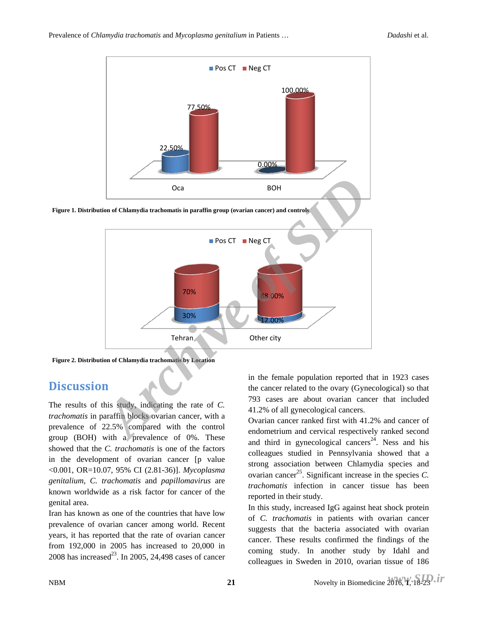

**Figure 1. Distribution of Chlamydia trachomatis in paraffin group (ovarian cancer) and controls**



**Figure 2. Distribution of Chlamydia trachomatis by Location**

### **Discussion**

The results of this study, indicating the rate of *C. trachomatis* in paraffin blocks ovarian cancer, with a prevalence of 22.5% compared with the control group (BOH) with a prevalence of 0%. These showed that the *C. trachomatis* is one of the factors in the development of ovarian cancer [p value <0.001, OR=10.07, 95% CI (2.81-36)]. *Mycoplasma genitalium*, *C. trachomatis* and *papillomavirus* are known worldwide as a risk factor for cancer of the genital area.

Iran has known as one of the countries that have low prevalence of ovarian cancer among world. Recent years, it has reported that the rate of ovarian cancer from 192,000 in 2005 has increased to 20,000 in 2008 has increased<sup>23</sup>. In 2005, 24,498 cases of cancer in the female population reported that in 1923 cases the cancer related to the ovary (Gynecological) so that 793 cases are about ovarian cancer that included 41.2% of all gynecological cancers.

Ovarian cancer ranked first with 41.2% and cancer of endometrium and cervical respectively ranked second and third in gynecological cancers<sup>24</sup>. Ness and his colleagues studied in Pennsylvania showed that a strong association between Chlamydia species and ovarian cancer<sup>25</sup>. Significant increase in the species  $C$ . *trachomatis* infection in cancer tissue has been reported in their study.

In this study, increased IgG against heat shock protein of *C. trachomatis* in patients with ovarian cancer suggests that the bacteria associated with ovarian cancer. These results confirmed the findings of the coming study. In another study by Idahl and colleagues in Sweden in 2010, ovarian tissue of 186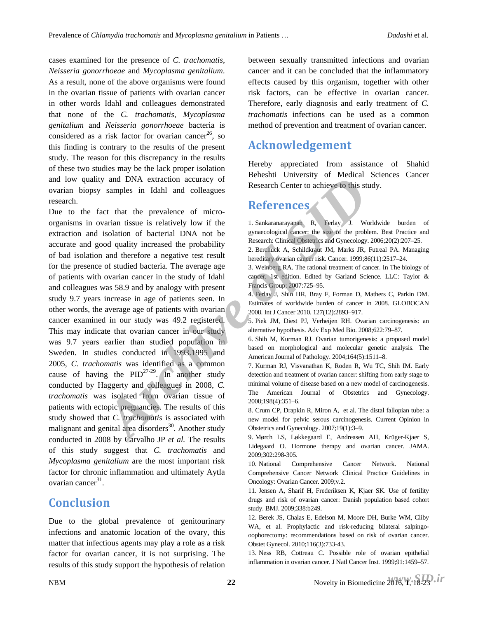cases examined for the presence of *C. trachomatis*, *Neisseria gonorrhoeae* and *Mycoplasma genitalium*. As a result, none of the above organisms were found in the ovarian tissue of patients with ovarian cancer in other words Idahl and colleagues demonstrated that none of the *C. trachomatis*, *Mycoplasma genitalium* and *Neisseria gonorrhoeae* bacteria is considered as a risk factor for ovarian cancer<sup>26</sup>, so this finding is contrary to the results of the present study. The reason for this discrepancy in the results of these two studies may be the lack proper isolation and low quality and DNA extraction accuracy of ovarian biopsy samples in Idahl and colleagues research.

Due to the fact that the prevalence of microorganisms in ovarian tissue is relatively low if the extraction and isolation of bacterial DNA not be accurate and good quality increased the probability of bad isolation and therefore a negative test result for the presence of studied bacteria. The average age of patients with ovarian cancer in the study of Idahl and colleagues was 58.9 and by analogy with present study 9.7 years increase in age of patients seen. In other words, the average age of patients with ovarian cancer examined in our study was 49.2 registered. This may indicate that ovarian cancer in our study was 9.7 years earlier than studied population in Sweden. In studies conducted in 1993.1995 and 2005, *C. trachomatis* was identified as a common cause of having the  $PID^{27-29}$ . In another study conducted by Haggerty and colleagues in 2008, *C. trachomatis* was isolated from ovarian tissue of patients with ectopic pregnancies. The results of this study showed that *C. trachomatis* is associated with malignant and genital area disorders $30$ . Another study conducted in 2008 by Carvalho JP *et al.* The results of this study suggest that *C. trachomatis* and *Mycoplasma genitalium* are the most important risk factor for chronic inflammation and ultimately Aytla ovarian cancer $31$ . *y* and DNA extraction accuracy of<br>
samples in Idahl and colleagues<br>
archive is strongen in Idahl and colleagues<br>
archive of micro-<br> **Archive is the proposition** of bacterial DNA not be<br>
archive in the simulation of bacte

#### **Conclusion**

Due to the global prevalence of genitourinary infections and anatomic location of the ovary, this matter that infectious agents may play a role as a risk factor for ovarian cancer, it is not surprising. The results of this study support the hypothesis of relation

between sexually transmitted infections and ovarian cancer and it can be concluded that the inflammatory effects caused by this organism, together with other risk factors, can be effective in ovarian cancer. Therefore, early diagnosis and early treatment of *C. trachomatis* infections can be used as a common method of prevention and treatment of ovarian cancer.

#### **Acknowledgement**

Hereby appreciated from assistance of Shahid Beheshti University of Medical Sciences Cancer Research Center to achieve to this study.

### **References**

1. Sankaranarayanan R, Ferlay J. Worldwide burden of gynaecological cancer: the size of the problem. Best Practice and Research: Clinical Obstetrics and Gynecology. 2006;20(2):207–25.

3. Weinberg RA. The rational treatment of cancer. In The biology of cancer. 1st edition. Edited by Garland Science. LLC: Taylor & Francis Group; 2007:725–95.

4. Ferlay J, Shin HR, Bray F, Forman D, Mathers C, Parkin DM. Estimates of worldwide burden of cancer in 2008. GLOBOCAN 2008. Int J Cancer 2010. 127(12):2893–917.

5. Piek JM, Diest PJ, Verheijen RH. Ovarian carcinogenesis: an alternative hypothesis. Adv Exp Med Bio. 2008;622:79–87.

6. Shih M, Kurman RJ. Ovarian tumorigenesis: a proposed model based on morphological and molecular genetic analysis. The American Journal of Pathology. 2004;164(5):1511–8.

7. Kurman RJ, Visvanathan K, Roden R, Wu TC, Shih IM. Early detection and treatment of ovarian cancer: shifting from early stage to minimal volume of disease based on a new model of carcinogenesis. The American Journal of Obstetrics and Gynecology. 2008;198(4):351–6.

8. Crum CP, Drapkin R, Miron A, et al. The distal fallopian tube: a new model for pelvic serous carcinogenesis. Current Opinion in Obstetrics and Gynecology. 2007;19(1):3–9.

9. Mørch LS, Løkkegaard E, Andreasen AH, Krüger-Kjaer S, Lidegaard O. Hormone therapy and ovarian cancer. JAMA. 2009;302:298-305.

10. National Comprehensive Cancer Network. National Comprehensive Cancer Network Clinical Practice Guidelines in Oncology: Ovarian Cancer. 2009;v.2.

11. Jensen A, Sharif H, Frederiksen K, Kjaer SK. Use of fertility drugs and risk of ovarian cancer: Danish population based cohort study. BMJ. 2009;338:b249.

12. Berek JS, Chalas E, Edelson M, Moore DH, Burke WM, Cliby WA, et al. Prophylactic and risk-reducing bilateral salpingooophorectomy: recommendations based on risk of ovarian cancer. Obstet Gynecol. 2010;116(3):733-43.

13. Ness RB, Cottreau C. Possible role of ovarian epithelial inflammation in ovarian cancer. J Natl Cancer Inst. 1999;91:1459–57.

<sup>2.</sup> Berchuck A, Schildkraut JM, Marks JR, Futreal PA. Managing hereditary ovarian cancer risk. Cancer. 1999;86(11):2517-24.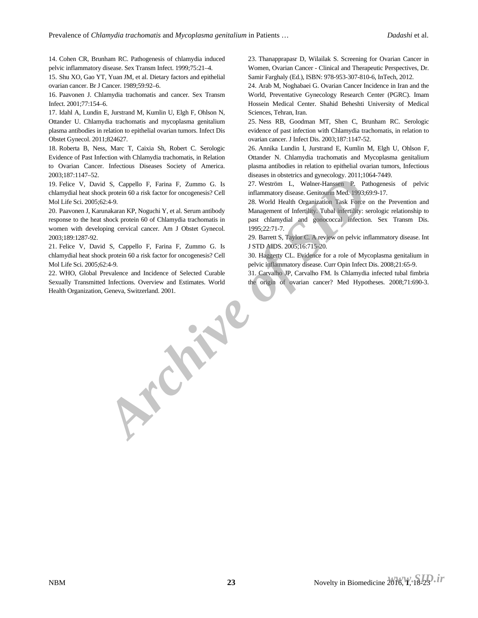14. Cohen CR, Brunham RC. Pathogenesis of chlamydia induced pelvic inflammatory disease. Sex Transm Infect. 1999;75:21–4.

15. Shu XO, Gao YT, Yuan JM, et al. Dietary factors and epithelial ovarian cancer. Br J Cancer. 1989;59:92–6.

16. Paavonen J. Chlamydia trachomatis and cancer. Sex Transm Infect. 2001;77:154–6.

17. Idahl A, Lundin E, Jurstrand M, Kumlin U, Elgh F, Ohlson N, Ottander U. Chlamydia trachomatis and mycoplasma genitalium plasma antibodies in relation to epithelial ovarian tumors. Infect Dis Obstet Gynecol. 2011;824627.

18. Roberta B, Ness, Marc T, Caixia Sh, Robert C. Serologic Evidence of Past Infection with Chlamydia trachomatis, in Relation to Ovarian Cancer. Infectious Diseases Society of America. 2003;187:1147–52.

19. Felice V, David S, Cappello F, Farina F, Zummo G. Is chlamydial heat shock protein 60 a risk factor for oncogenesis? Cell Mol Life Sci. 2005;62:4-9.

20. Paavonen J, Karunakaran KP, Noguchi Y, et al. Serum antibody response to the heat shock protein 60 of Chlamydia trachomatis in women with developing cervical cancer. Am J Obstet Gynecol. 2003;189:1287-92.

21. Felice V, David S, Cappello F, Farina F, Zummo G. Is chlamydial heat shock protein 60 a risk factor for oncogenesis? Cell Mol Life Sci. 2005;62:4-9.

22. WHO, Global Prevalence and Incidence of Selected Curable Sexually Transmitted Infections. Overview and Estimates. World Health Organization, Geneva, Switzerland. 2001. *Archive of Switzerland. 2001.* 

23. Thanapprapasr D, Wilailak S. Screening for Ovarian Cancer in Women, Ovarian Cancer - Clinical and Therapeutic Perspectives, Dr. Samir Farghaly (Ed.), ISBN: 978-953-307-810-6, InTech, 2012.

24. Arab M, Noghabaei G. Ovarian Cancer Incidence in Iran and the World, Preventative Gynecology Research Center (PGRC). Imam Hossein Medical Center. Shahid Beheshti University of Medical Sciences, Tehran, Iran.

25. Ness RB, Goodman MT, Shen C, Brunham RC. Serologic evidence of past infection with Chlamydia trachomatis, in relation to ovarian cancer. J Infect Dis. 2003;187:1147-52.

26. Annika Lundin I, Jurstrand E, Kumlin M, Elgh U, Ohlson F, Ottander N. Chlamydia trachomatis and Mycoplasma genitalium plasma antibodies in relation to epithelial ovarian tumors, Infectious diseases in obstetrics and gynecology. 2011;1064-7449.

27. Weström L, Wølner-Hanssen P. Pathogenesis of pelvic inflammatory disease. Genitourin Med. 1993;69:9-17.

28. World Health Organization Task Force on the Prevention and Management of Infertility. Tubal infertility: serologic relationship to past chlamydial and gonococcal infection. Sex Transm Dis. 1995;22:71-7.

29. Barrett S, Taylor C. A review on pelvic inflammatory disease. Int J STD AIDS. 2005;16:715-20.

30. Haggerty CL. Evidence for a role of Mycoplasma genitalium in pelvic inflammatory disease. Curr Opin Infect Dis. 2008;21:65-9.

31. Carvalho JP, Carvalho FM. Is Chlamydia infected tubal fimbria the origin of ovarian cancer? Med Hypotheses. 2008;71:690-3.